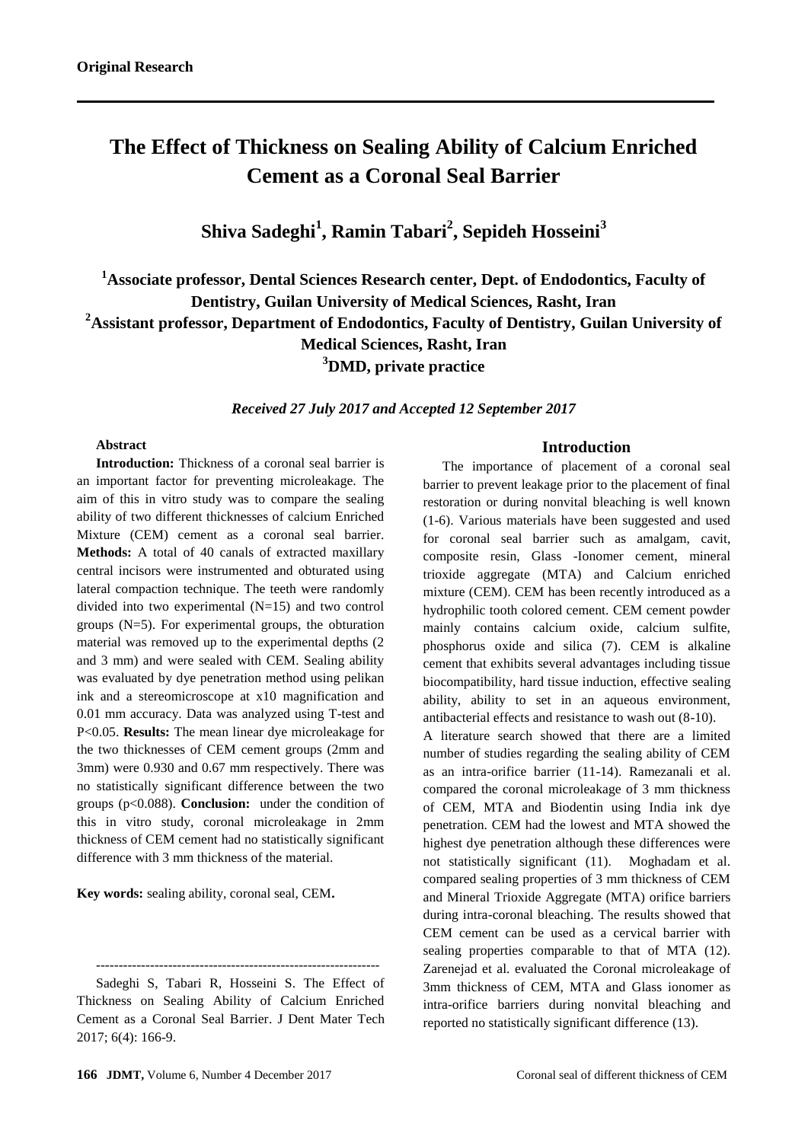# **The Effect of Thickness on Sealing Ability of Calcium Enriched Cement as a Coronal Seal Barrier**

**Shiva Sadeghi<sup>1</sup> , Ramin Tabari<sup>2</sup> , Sepideh Hosseini<sup>3</sup>**

**<sup>1</sup>Associate professor, Dental Sciences Research center, Dept. of Endodontics, Faculty of Dentistry, Guilan University of Medical Sciences, Rasht, Iran <sup>2</sup>Assistant professor, Department of Endodontics, Faculty of Dentistry, Guilan University of Medical Sciences, Rasht, Iran <sup>3</sup>DMD, private practice**

*Received 27 July 2017 and Accepted 12 September 2017*

#### **Abstract**

**Introduction:** Thickness of a coronal seal barrier is an important factor for preventing microleakage. The aim of this in vitro study was to compare the sealing ability of two different thicknesses of calcium Enriched Mixture (CEM) cement as a coronal seal barrier. **Methods:** A total of 40 canals of extracted maxillary central incisors were instrumented and obturated using lateral compaction technique. The teeth were randomly divided into two experimental (N=15) and two control groups (N=5). For experimental groups, the obturation material was removed up to the experimental depths (2 and 3 mm) and were sealed with CEM. Sealing ability was evaluated by dye penetration method using pelikan ink and a stereomicroscope at x10 magnification and 0.01 mm accuracy. Data was analyzed using T-test and P<0.05. **Results:** The mean linear dye microleakage for the two thicknesses of CEM cement groups (2mm and 3mm) were 0.930 and 0.67 mm respectively. There was no statistically significant difference between the two groups (p<0.088). **Conclusion:** under the condition of this in vitro study, coronal microleakage in 2mm thickness of CEM cement had no statistically significant difference with 3 mm thickness of the material.

**Key words:** sealing ability, coronal seal, CEM**.**

---------------------------------------------------------------

#### **Introduction**

The importance of placement of a coronal seal barrier to prevent leakage prior to the placement of final restoration or during nonvital bleaching is well known (1-6). Various materials have been suggested and used for coronal seal barrier such as amalgam, cavit, composite resin, Glass -Ionomer cement, mineral trioxide aggregate (MTA) and Calcium enriched mixture (CEM). CEM has been recently introduced as a hydrophilic tooth colored cement. CEM cement powder mainly contains calcium oxide, calcium sulfite, phosphorus oxide and silica (7). CEM is alkaline cement that exhibits several advantages including tissue biocompatibility, hard tissue induction, effective sealing ability, ability to set in an aqueous environment, antibacterial effects and resistance to wash out (8-10). A literature search showed that there are a limited number of studies regarding the sealing ability of CEM as an intra-orifice barrier (11-14). Ramezanali et al. compared the coronal microleakage of 3 mm thickness of CEM, MTA and Biodentin using India ink dye penetration. CEM had the lowest and MTA showed the highest dye penetration although these differences were not statistically significant (11). Moghadam et al. [compared sealing properties of 3 mm thickness of CEM](https://www.ncbi.nlm.nih.gov/pmc/articles/PMC5431721/)  [and Mineral Trioxide Aggregate \(MTA\) orifice barriers](https://www.ncbi.nlm.nih.gov/pmc/articles/PMC5431721/)  [during intra-coronal bleaching.](https://www.ncbi.nlm.nih.gov/pmc/articles/PMC5431721/) The results showed that

CEM cement can be used as a cervical barrier with sealing properties comparable to that of MTA (12). Zarenejad et al. evaluated the [Coronal microleakage of](https://www.ncbi.nlm.nih.gov/pmc/articles/PMC4696362/)  [3mm thickness of CEM, MTA and Glass ionomer as](https://www.ncbi.nlm.nih.gov/pmc/articles/PMC4696362/)  [intra-orifice barriers during nonvital bleaching](https://www.ncbi.nlm.nih.gov/pmc/articles/PMC4696362/) and reported no statistically significant difference (13).

Sadeghi S, Tabari R, Hosseini S. The Effect of Thickness on Sealing Ability of Calcium Enriched Cement as a Coronal Seal Barrier. J Dent Mater Tech 2017; 6(4): 166-9.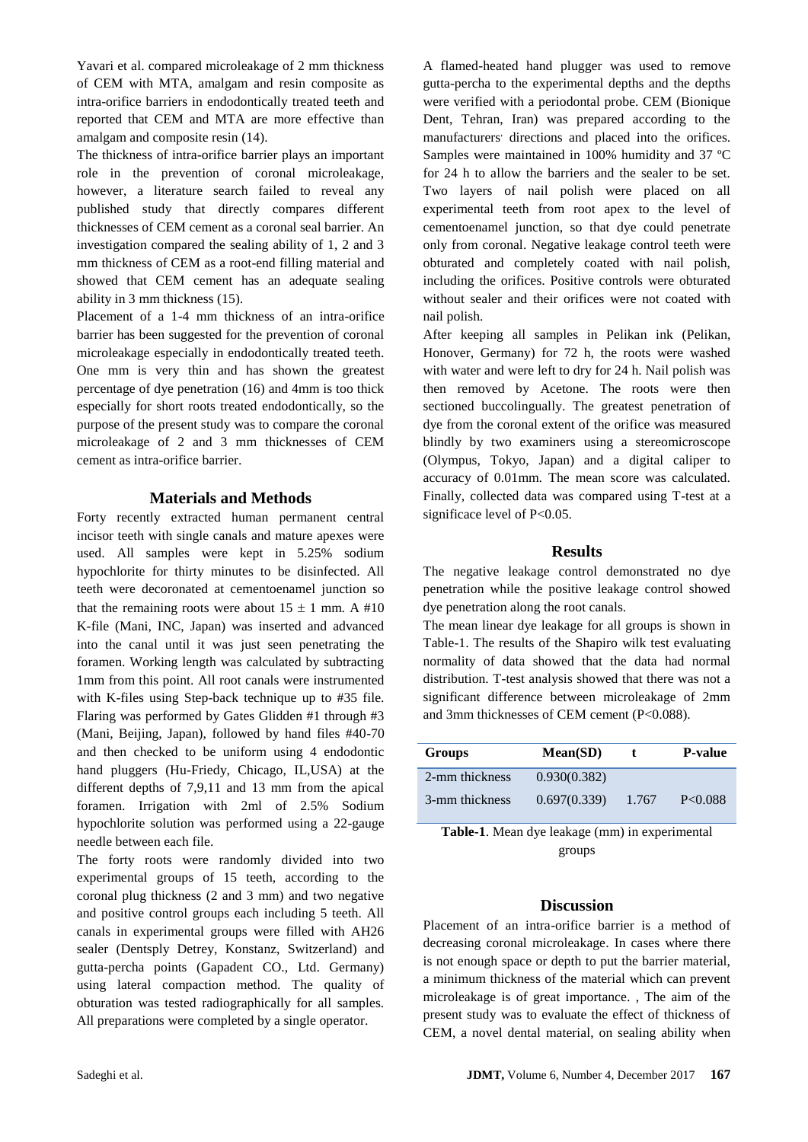Yavari et al. compared microleakage of 2 mm thickness of CEM with MTA, amalgam and resin composite as intra-orifice barriers in endodontically treated teeth and reported that CEM and MTA are more effective than amalgam and composite resin (14).

The thickness of intra-orifice barrier plays an important role in the prevention of coronal microleakage, however, a literature search failed to reveal any published study that directly compares different thicknesses of CEM cement as a coronal seal barrier. An investigation compared the sealing ability of 1, 2 and 3 mm thickness of CEM as a root-end filling material and showed that CEM cement has an adequate sealing ability in 3 mm thickness (15).

Placement of a 1-4 mm thickness of an intra-orifice barrier has been suggested for the prevention of coronal microleakage especially in endodontically treated teeth. One mm is very thin and has shown the greatest percentage of dye penetration (16) and 4mm is too thick especially for short roots treated endodontically, so the purpose of the present study was to compare the coronal microleakage of 2 and 3 mm thicknesses of CEM cement as intra-orifice barrier.

## **Materials and Methods**

Forty recently extracted human permanent central incisor teeth with single canals and mature apexes were used. All samples were kept in 5.25% sodium hypochlorite for thirty minutes to be disinfected. All teeth were decoronated at cementoenamel junction so that the remaining roots were about  $15 \pm 1$  mm. A #10 K-file (Mani, INC, Japan) was inserted and advanced into the canal until it was just seen penetrating the foramen. Working length was calculated by subtracting 1mm from this point. All root canals were instrumented with K-files using Step-back technique up to #35 file. Flaring was performed by Gates Glidden #1 through #3 (Mani, Beijing, Japan), followed by hand files #40-70 and then checked to be uniform using 4 endodontic hand pluggers (Hu-Friedy, Chicago, IL,USA) at the different depths of 7,9,11 and 13 mm from the apical foramen. Irrigation with 2ml of 2.5% Sodium hypochlorite solution was performed using a 22-gauge needle between each file.

The forty roots were randomly divided into two experimental groups of 15 teeth, according to the coronal plug thickness (2 and 3 mm) and two negative and positive control groups each including 5 teeth. All canals in experimental groups were filled with AH26 sealer (Dentsply Detrey, Konstanz, Switzerland) and gutta-percha points (Gapadent CO., Ltd. Germany) using lateral compaction method. The quality of obturation was tested radiographically for all samples. All preparations were completed by a single operator.

A flamed-heated hand plugger was used to remove gutta-percha to the experimental depths and the depths were verified with a periodontal probe. CEM (Bionique Dent, Tehran, Iran) was prepared according to the manufacturers' directions and placed into the orifices. Samples were maintained in 100% humidity and 37 ºC for 24 h to allow the barriers and the sealer to be set. Two layers of nail polish were placed on all experimental teeth from root apex to the level of cementoenamel junction, so that dye could penetrate only from coronal. Negative leakage control teeth were obturated and completely coated with nail polish, including the orifices. Positive controls were obturated without sealer and their orifices were not coated with nail polish.

After keeping all samples in Pelikan ink (Pelikan, Honover, Germany) for 72 h, the roots were washed with water and were left to dry for 24 h. Nail polish was then removed by Acetone. The roots were then sectioned buccolingually. The greatest penetration of dye from the coronal extent of the orifice was measured blindly by two examiners using a stereomicroscope (Olympus, Tokyo, Japan) and a digital caliper to accuracy of 0.01mm. The mean score was calculated. Finally, collected data was compared using T-test at a significace level of P<0.05.

#### **Results**

The negative leakage control demonstrated no dye penetration while the positive leakage control showed dye penetration along the root canals.

The mean linear dye leakage for all groups is shown in Table-1. The results of the Shapiro wilk test evaluating normality of data showed that the data had normal distribution. T-test analysis showed that there was not a significant difference between microleakage of 2mm and 3mm thicknesses of CEM cement (P<0.088).

| Groups         | Mean(SD)     | T.    | <b>P-value</b> |
|----------------|--------------|-------|----------------|
| 2-mm thickness | 0.930(0.382) |       |                |
| 3-mm thickness | 0.697(0.339) | 1.767 | P<0.088        |

**Table-1**. Mean dye leakage (mm) in experimental groups

## **Discussion**

Placement of an intra-orifice barrier is a method of decreasing coronal microleakage. In cases where there is not enough space or depth to put the barrier material, a minimum thickness of the material which can prevent microleakage is of great importance. , The aim of the present study was to evaluate the effect of thickness of CEM, a novel dental material, on sealing ability when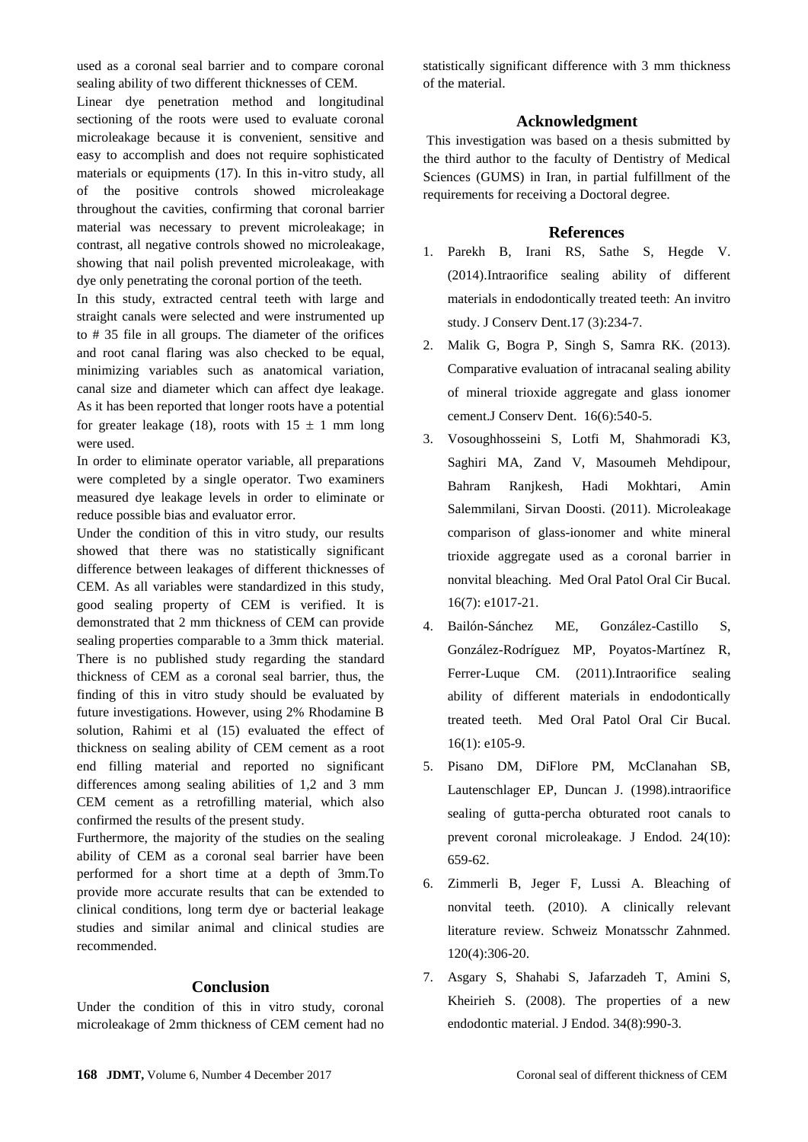used as a coronal seal barrier and to compare coronal sealing ability of two different thicknesses of CEM.

Linear dye penetration method and longitudinal sectioning of the roots were used to evaluate coronal microleakage because it is convenient, sensitive and easy to accomplish and does not require sophisticated materials or equipments (17). In this in-vitro study, all of the positive controls showed microleakage throughout the cavities, confirming that coronal barrier material was necessary to prevent microleakage; in contrast, all negative controls showed no microleakage, showing that nail polish prevented microleakage, with dye only penetrating the coronal portion of the teeth.

In this study, extracted central teeth with large and straight canals were selected and were instrumented up to # 35 file in all groups. The diameter of the orifices and root canal flaring was also checked to be equal, minimizing variables such as anatomical variation, canal size and diameter which can affect dye leakage. As it has been reported that longer roots have a potential for greater leakage (18), roots with  $15 \pm 1$  mm long were used.

In order to eliminate operator variable, all preparations were completed by a single operator. Two examiners measured dye leakage levels in order to eliminate or reduce possible bias and evaluator error.

Under the condition of this in vitro study, our results showed that there was no statistically significant difference between leakages of different thicknesses of CEM. As all variables were standardized in this study, good sealing property of CEM is verified. It is demonstrated that 2 mm thickness of CEM can provide sealing properties comparable to a 3mm thick material. There is no published study regarding the standard thickness of CEM as a coronal seal barrier, thus, the finding of this in vitro study should be evaluated by future investigations. However, using 2% Rhodamine B solution, Rahimi et al (15) evaluated the effect of thickness on sealing ability of CEM cement as a root end filling material and reported no significant differences among sealing abilities of 1,2 and 3 mm CEM cement as a retrofilling material, which also confirmed the results of the present study.

Furthermore, the majority of the studies on the sealing ability of CEM as a coronal seal barrier have been performed for a short time at a depth of 3mm.To provide more accurate results that can be extended to clinical conditions, long term dye or bacterial leakage studies and similar animal and clinical studies are recommended.

## **Conclusion**

Under the condition of this in vitro study, coronal microleakage of 2mm thickness of CEM cement had no

statistically significant difference with 3 mm thickness of the material.

# **Acknowledgment**

This investigation was based on a thesis submitted by the third author to the faculty of Dentistry of Medical Sciences (GUMS) in Iran, in partial fulfillment of the requirements for receiving a Doctoral degree.

## **References**

- 1. Parekh B, Irani RS, Sathe S, Hegde V. (2014).Intraorifice sealing ability of different materials in endodontically treated teeth: An invitro study. J Conserv Dent.17 (3):234-7.
- 2. Malik G, Bogra P, Singh S, Samra RK. (2013). Comparative evaluation of intracanal sealing ability of mineral trioxide aggregate and glass ionomer cement.J Conserv Dent. 16(6):540-5.
- 3. Vosoughhosseini S, Lotfi M, Shahmoradi K3, Saghiri MA, Zand V, Masoumeh Mehdipour, Bahram Ranjkesh, Hadi Mokhtari, Amin Salemmilani, Sirvan Doosti. (2011). Microleakage comparison of glass-ionomer and white mineral trioxide aggregate used as a coronal barrier in nonvital bleaching. Med Oral Patol Oral Cir Bucal. 16(7): e1017-21.
- 4. Bailón-Sánchez ME, González-Castillo S, González-Rodríguez MP, Poyatos-Martínez R, Ferrer-Luque CM. (2011).Intraorifice sealing ability of different materials in endodontically treated teeth. Med Oral Patol Oral Cir Bucal. 16(1): e105-9.
- 5. Pisano DM, DiFlore PM, McClanahan SB, Lautenschlager EP, Duncan J. (1998).intraorifice sealing of gutta-percha obturated root canals to prevent coronal microleakage. J Endod. 24(10): 659-62.
- 6. Zimmerli B, Jeger F, Lussi A. Bleaching of nonvital teeth. (2010). A clinically relevant literature review. Schweiz Monatsschr Zahnmed. 120(4):306-20.
- 7. Asgary S, Shahabi S, Jafarzadeh T, Amini S, Kheirieh S. (2008). The properties of a new endodontic material. J Endod. 34(8):990-3.